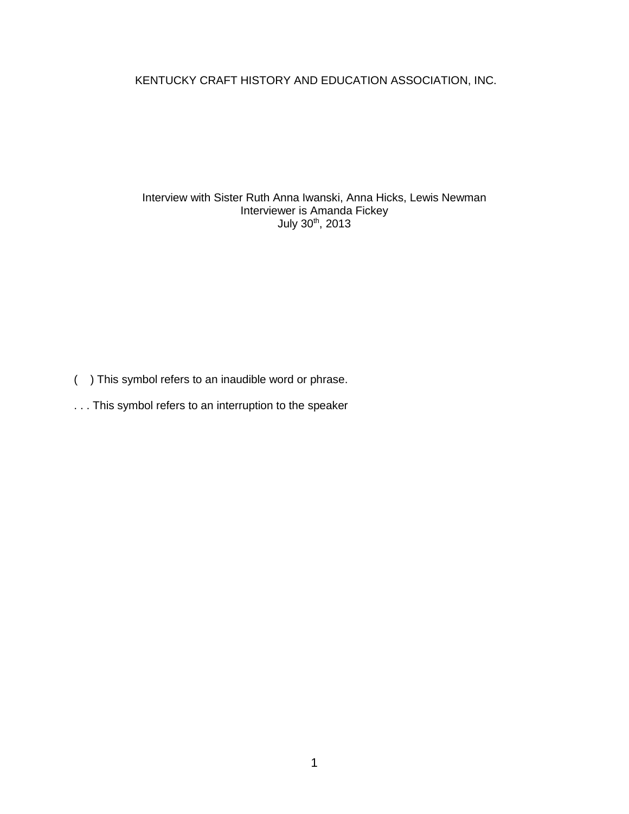KENTUCKY CRAFT HISTORY AND EDUCATION ASSOCIATION, INC.

Interview with Sister Ruth Anna Iwanski, Anna Hicks, Lewis Newman Interviewer is Amanda Fickey July 30<sup>th</sup>, 2013

( ) This symbol refers to an inaudible word or phrase.

. . . This symbol refers to an interruption to the speaker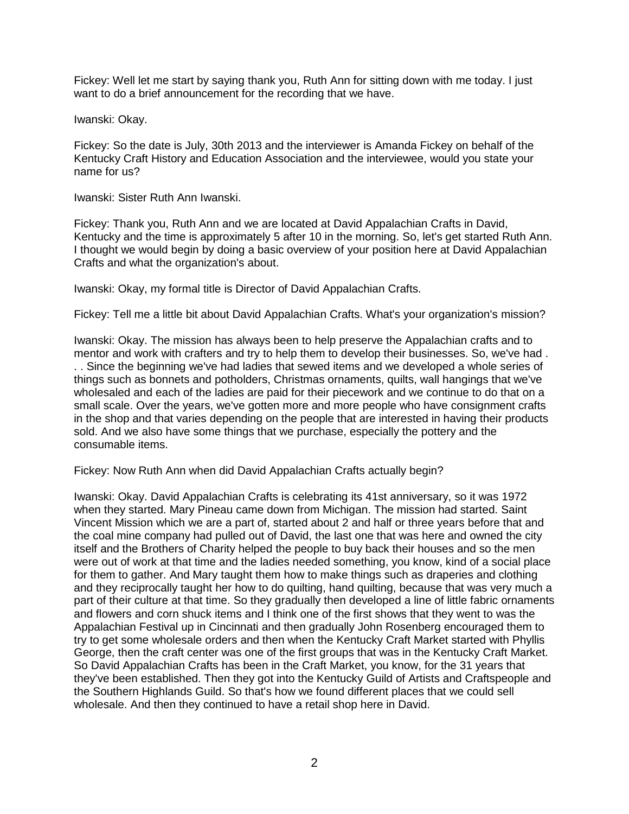Fickey: Well let me start by saying thank you, Ruth Ann for sitting down with me today. I just want to do a brief announcement for the recording that we have.

Iwanski: Okay.

Fickey: So the date is July, 30th 2013 and the interviewer is Amanda Fickey on behalf of the Kentucky Craft History and Education Association and the interviewee, would you state your name for us?

Iwanski: Sister Ruth Ann Iwanski.

Fickey: Thank you, Ruth Ann and we are located at David Appalachian Crafts in David, Kentucky and the time is approximately 5 after 10 in the morning. So, let's get started Ruth Ann. I thought we would begin by doing a basic overview of your position here at David Appalachian Crafts and what the organization's about.

Iwanski: Okay, my formal title is Director of David Appalachian Crafts.

Fickey: Tell me a little bit about David Appalachian Crafts. What's your organization's mission?

Iwanski: Okay. The mission has always been to help preserve the Appalachian crafts and to mentor and work with crafters and try to help them to develop their businesses. So, we've had . . . Since the beginning we've had ladies that sewed items and we developed a whole series of things such as bonnets and potholders, Christmas ornaments, quilts, wall hangings that we've wholesaled and each of the ladies are paid for their piecework and we continue to do that on a small scale. Over the years, we've gotten more and more people who have consignment crafts in the shop and that varies depending on the people that are interested in having their products sold. And we also have some things that we purchase, especially the pottery and the consumable items.

Fickey: Now Ruth Ann when did David Appalachian Crafts actually begin?

Iwanski: Okay. David Appalachian Crafts is celebrating its 41st anniversary, so it was 1972 when they started. Mary Pineau came down from Michigan. The mission had started. Saint Vincent Mission which we are a part of, started about 2 and half or three years before that and the coal mine company had pulled out of David, the last one that was here and owned the city itself and the Brothers of Charity helped the people to buy back their houses and so the men were out of work at that time and the ladies needed something, you know, kind of a social place for them to gather. And Mary taught them how to make things such as draperies and clothing and they reciprocally taught her how to do quilting, hand quilting, because that was very much a part of their culture at that time. So they gradually then developed a line of little fabric ornaments and flowers and corn shuck items and I think one of the first shows that they went to was the Appalachian Festival up in Cincinnati and then gradually John Rosenberg encouraged them to try to get some wholesale orders and then when the Kentucky Craft Market started with Phyllis George, then the craft center was one of the first groups that was in the Kentucky Craft Market. So David Appalachian Crafts has been in the Craft Market, you know, for the 31 years that they've been established. Then they got into the Kentucky Guild of Artists and Craftspeople and the Southern Highlands Guild. So that's how we found different places that we could sell wholesale. And then they continued to have a retail shop here in David.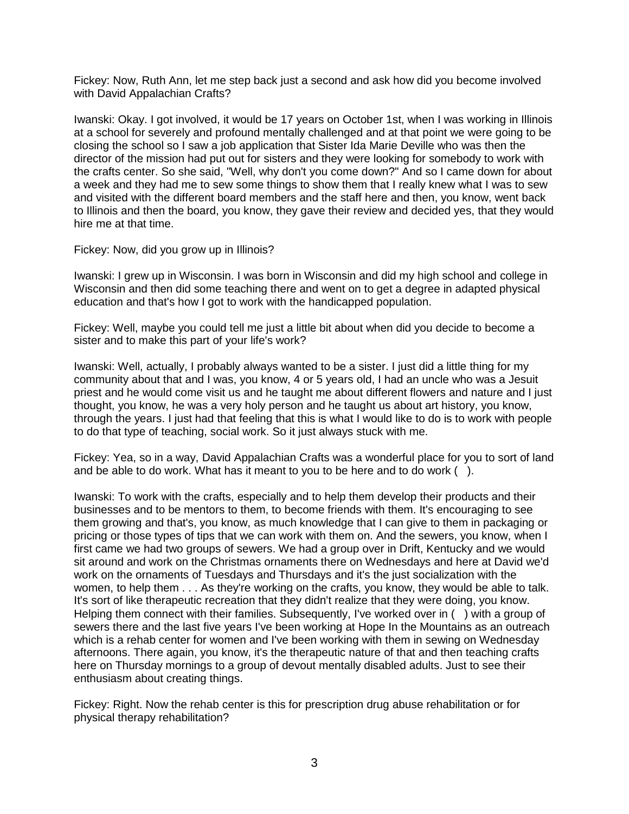Fickey: Now, Ruth Ann, let me step back just a second and ask how did you become involved with David Appalachian Crafts?

Iwanski: Okay. I got involved, it would be 17 years on October 1st, when I was working in Illinois at a school for severely and profound mentally challenged and at that point we were going to be closing the school so I saw a job application that Sister Ida Marie Deville who was then the director of the mission had put out for sisters and they were looking for somebody to work with the crafts center. So she said, "Well, why don't you come down?" And so I came down for about a week and they had me to sew some things to show them that I really knew what I was to sew and visited with the different board members and the staff here and then, you know, went back to Illinois and then the board, you know, they gave their review and decided yes, that they would hire me at that time.

Fickey: Now, did you grow up in Illinois?

Iwanski: I grew up in Wisconsin. I was born in Wisconsin and did my high school and college in Wisconsin and then did some teaching there and went on to get a degree in adapted physical education and that's how I got to work with the handicapped population.

Fickey: Well, maybe you could tell me just a little bit about when did you decide to become a sister and to make this part of your life's work?

Iwanski: Well, actually, I probably always wanted to be a sister. I just did a little thing for my community about that and I was, you know, 4 or 5 years old, I had an uncle who was a Jesuit priest and he would come visit us and he taught me about different flowers and nature and I just thought, you know, he was a very holy person and he taught us about art history, you know, through the years. I just had that feeling that this is what I would like to do is to work with people to do that type of teaching, social work. So it just always stuck with me.

Fickey: Yea, so in a way, David Appalachian Crafts was a wonderful place for you to sort of land and be able to do work. What has it meant to you to be here and to do work ( ).

Iwanski: To work with the crafts, especially and to help them develop their products and their businesses and to be mentors to them, to become friends with them. It's encouraging to see them growing and that's, you know, as much knowledge that I can give to them in packaging or pricing or those types of tips that we can work with them on. And the sewers, you know, when I first came we had two groups of sewers. We had a group over in Drift, Kentucky and we would sit around and work on the Christmas ornaments there on Wednesdays and here at David we'd work on the ornaments of Tuesdays and Thursdays and it's the just socialization with the women, to help them . . . As they're working on the crafts, you know, they would be able to talk. It's sort of like therapeutic recreation that they didn't realize that they were doing, you know. Helping them connect with their families. Subsequently, I've worked over in () with a group of sewers there and the last five years I've been working at Hope In the Mountains as an outreach which is a rehab center for women and I've been working with them in sewing on Wednesday afternoons. There again, you know, it's the therapeutic nature of that and then teaching crafts here on Thursday mornings to a group of devout mentally disabled adults. Just to see their enthusiasm about creating things.

Fickey: Right. Now the rehab center is this for prescription drug abuse rehabilitation or for physical therapy rehabilitation?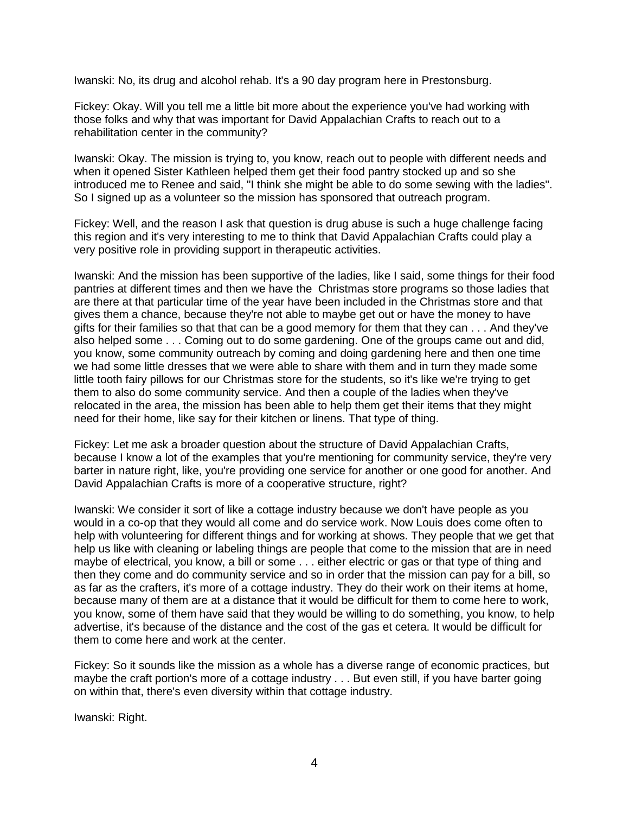Iwanski: No, its drug and alcohol rehab. It's a 90 day program here in Prestonsburg.

Fickey: Okay. Will you tell me a little bit more about the experience you've had working with those folks and why that was important for David Appalachian Crafts to reach out to a rehabilitation center in the community?

Iwanski: Okay. The mission is trying to, you know, reach out to people with different needs and when it opened Sister Kathleen helped them get their food pantry stocked up and so she introduced me to Renee and said, "I think she might be able to do some sewing with the ladies". So I signed up as a volunteer so the mission has sponsored that outreach program.

Fickey: Well, and the reason I ask that question is drug abuse is such a huge challenge facing this region and it's very interesting to me to think that David Appalachian Crafts could play a very positive role in providing support in therapeutic activities.

Iwanski: And the mission has been supportive of the ladies, like I said, some things for their food pantries at different times and then we have the Christmas store programs so those ladies that are there at that particular time of the year have been included in the Christmas store and that gives them a chance, because they're not able to maybe get out or have the money to have gifts for their families so that that can be a good memory for them that they can . . . And they've also helped some . . . Coming out to do some gardening. One of the groups came out and did, you know, some community outreach by coming and doing gardening here and then one time we had some little dresses that we were able to share with them and in turn they made some little tooth fairy pillows for our Christmas store for the students, so it's like we're trying to get them to also do some community service. And then a couple of the ladies when they've relocated in the area, the mission has been able to help them get their items that they might need for their home, like say for their kitchen or linens. That type of thing.

Fickey: Let me ask a broader question about the structure of David Appalachian Crafts, because I know a lot of the examples that you're mentioning for community service, they're very barter in nature right, like, you're providing one service for another or one good for another. And David Appalachian Crafts is more of a cooperative structure, right?

Iwanski: We consider it sort of like a cottage industry because we don't have people as you would in a co-op that they would all come and do service work. Now Louis does come often to help with volunteering for different things and for working at shows. They people that we get that help us like with cleaning or labeling things are people that come to the mission that are in need maybe of electrical, you know, a bill or some . . . either electric or gas or that type of thing and then they come and do community service and so in order that the mission can pay for a bill, so as far as the crafters, it's more of a cottage industry. They do their work on their items at home, because many of them are at a distance that it would be difficult for them to come here to work, you know, some of them have said that they would be willing to do something, you know, to help advertise, it's because of the distance and the cost of the gas et cetera. It would be difficult for them to come here and work at the center.

Fickey: So it sounds like the mission as a whole has a diverse range of economic practices, but maybe the craft portion's more of a cottage industry . . . But even still, if you have barter going on within that, there's even diversity within that cottage industry.

Iwanski: Right.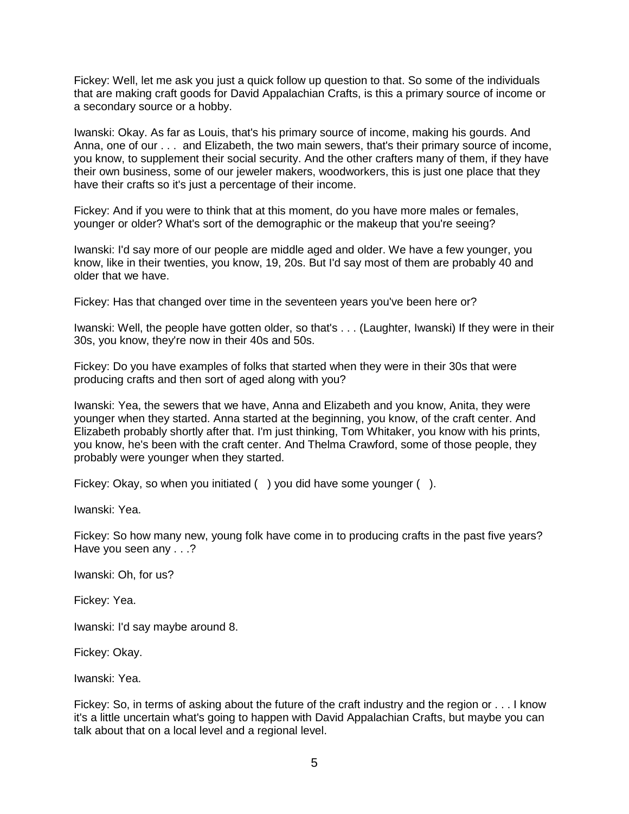Fickey: Well, let me ask you just a quick follow up question to that. So some of the individuals that are making craft goods for David Appalachian Crafts, is this a primary source of income or a secondary source or a hobby.

Iwanski: Okay. As far as Louis, that's his primary source of income, making his gourds. And Anna, one of our . . . and Elizabeth, the two main sewers, that's their primary source of income, you know, to supplement their social security. And the other crafters many of them, if they have their own business, some of our jeweler makers, woodworkers, this is just one place that they have their crafts so it's just a percentage of their income.

Fickey: And if you were to think that at this moment, do you have more males or females, younger or older? What's sort of the demographic or the makeup that you're seeing?

Iwanski: I'd say more of our people are middle aged and older. We have a few younger, you know, like in their twenties, you know, 19, 20s. But I'd say most of them are probably 40 and older that we have.

Fickey: Has that changed over time in the seventeen years you've been here or?

Iwanski: Well, the people have gotten older, so that's . . . (Laughter, Iwanski) If they were in their 30s, you know, they're now in their 40s and 50s.

Fickey: Do you have examples of folks that started when they were in their 30s that were producing crafts and then sort of aged along with you?

Iwanski: Yea, the sewers that we have, Anna and Elizabeth and you know, Anita, they were younger when they started. Anna started at the beginning, you know, of the craft center. And Elizabeth probably shortly after that. I'm just thinking, Tom Whitaker, you know with his prints, you know, he's been with the craft center. And Thelma Crawford, some of those people, they probably were younger when they started.

Fickey: Okay, so when you initiated () you did have some younger ().

Iwanski: Yea.

Fickey: So how many new, young folk have come in to producing crafts in the past five years? Have you seen any . . .?

Iwanski: Oh, for us?

Fickey: Yea.

Iwanski: I'd say maybe around 8.

Fickey: Okay.

Iwanski: Yea.

Fickey: So, in terms of asking about the future of the craft industry and the region or . . . I know it's a little uncertain what's going to happen with David Appalachian Crafts, but maybe you can talk about that on a local level and a regional level.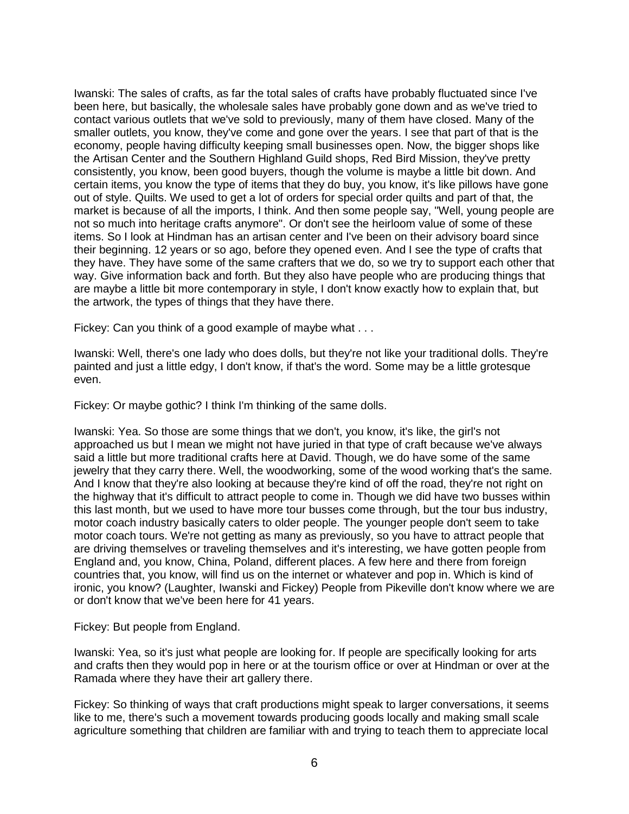Iwanski: The sales of crafts, as far the total sales of crafts have probably fluctuated since I've been here, but basically, the wholesale sales have probably gone down and as we've tried to contact various outlets that we've sold to previously, many of them have closed. Many of the smaller outlets, you know, they've come and gone over the years. I see that part of that is the economy, people having difficulty keeping small businesses open. Now, the bigger shops like the Artisan Center and the Southern Highland Guild shops, Red Bird Mission, they've pretty consistently, you know, been good buyers, though the volume is maybe a little bit down. And certain items, you know the type of items that they do buy, you know, it's like pillows have gone out of style. Quilts. We used to get a lot of orders for special order quilts and part of that, the market is because of all the imports, I think. And then some people say, "Well, young people are not so much into heritage crafts anymore". Or don't see the heirloom value of some of these items. So I look at Hindman has an artisan center and I've been on their advisory board since their beginning. 12 years or so ago, before they opened even. And I see the type of crafts that they have. They have some of the same crafters that we do, so we try to support each other that way. Give information back and forth. But they also have people who are producing things that are maybe a little bit more contemporary in style, I don't know exactly how to explain that, but the artwork, the types of things that they have there.

Fickey: Can you think of a good example of maybe what . . .

Iwanski: Well, there's one lady who does dolls, but they're not like your traditional dolls. They're painted and just a little edgy, I don't know, if that's the word. Some may be a little grotesque even.

Fickey: Or maybe gothic? I think I'm thinking of the same dolls.

Iwanski: Yea. So those are some things that we don't, you know, it's like, the girl's not approached us but I mean we might not have juried in that type of craft because we've always said a little but more traditional crafts here at David. Though, we do have some of the same jewelry that they carry there. Well, the woodworking, some of the wood working that's the same. And I know that they're also looking at because they're kind of off the road, they're not right on the highway that it's difficult to attract people to come in. Though we did have two busses within this last month, but we used to have more tour busses come through, but the tour bus industry, motor coach industry basically caters to older people. The younger people don't seem to take motor coach tours. We're not getting as many as previously, so you have to attract people that are driving themselves or traveling themselves and it's interesting, we have gotten people from England and, you know, China, Poland, different places. A few here and there from foreign countries that, you know, will find us on the internet or whatever and pop in. Which is kind of ironic, you know? (Laughter, Iwanski and Fickey) People from Pikeville don't know where we are or don't know that we've been here for 41 years.

Fickey: But people from England.

Iwanski: Yea, so it's just what people are looking for. If people are specifically looking for arts and crafts then they would pop in here or at the tourism office or over at Hindman or over at the Ramada where they have their art gallery there.

Fickey: So thinking of ways that craft productions might speak to larger conversations, it seems like to me, there's such a movement towards producing goods locally and making small scale agriculture something that children are familiar with and trying to teach them to appreciate local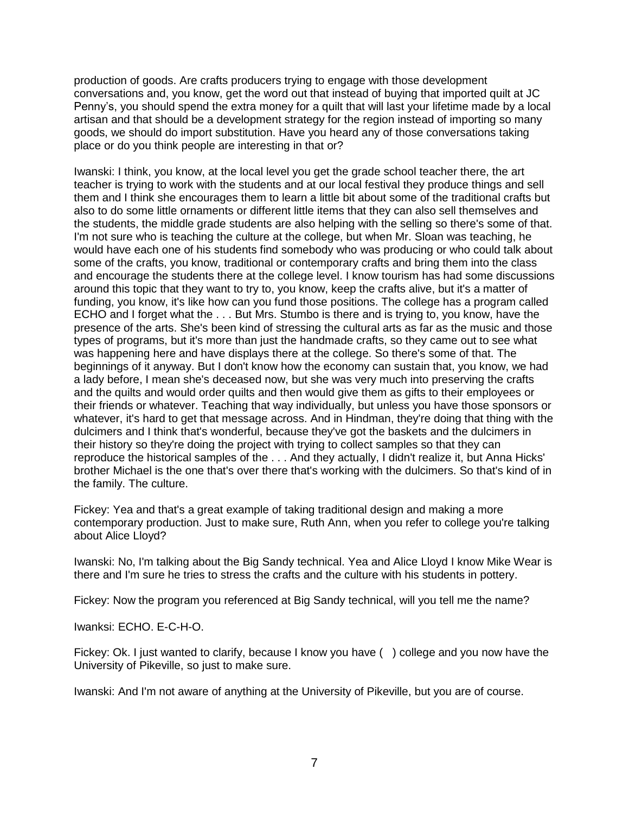production of goods. Are crafts producers trying to engage with those development conversations and, you know, get the word out that instead of buying that imported quilt at JC Penny's, you should spend the extra money for a quilt that will last your lifetime made by a local artisan and that should be a development strategy for the region instead of importing so many goods, we should do import substitution. Have you heard any of those conversations taking place or do you think people are interesting in that or?

Iwanski: I think, you know, at the local level you get the grade school teacher there, the art teacher is trying to work with the students and at our local festival they produce things and sell them and I think she encourages them to learn a little bit about some of the traditional crafts but also to do some little ornaments or different little items that they can also sell themselves and the students, the middle grade students are also helping with the selling so there's some of that. I'm not sure who is teaching the culture at the college, but when Mr. Sloan was teaching, he would have each one of his students find somebody who was producing or who could talk about some of the crafts, you know, traditional or contemporary crafts and bring them into the class and encourage the students there at the college level. I know tourism has had some discussions around this topic that they want to try to, you know, keep the crafts alive, but it's a matter of funding, you know, it's like how can you fund those positions. The college has a program called ECHO and I forget what the . . . But Mrs. Stumbo is there and is trying to, you know, have the presence of the arts. She's been kind of stressing the cultural arts as far as the music and those types of programs, but it's more than just the handmade crafts, so they came out to see what was happening here and have displays there at the college. So there's some of that. The beginnings of it anyway. But I don't know how the economy can sustain that, you know, we had a lady before, I mean she's deceased now, but she was very much into preserving the crafts and the quilts and would order quilts and then would give them as gifts to their employees or their friends or whatever. Teaching that way individually, but unless you have those sponsors or whatever, it's hard to get that message across. And in Hindman, they're doing that thing with the dulcimers and I think that's wonderful, because they've got the baskets and the dulcimers in their history so they're doing the project with trying to collect samples so that they can reproduce the historical samples of the . . . And they actually, I didn't realize it, but Anna Hicks' brother Michael is the one that's over there that's working with the dulcimers. So that's kind of in the family. The culture.

Fickey: Yea and that's a great example of taking traditional design and making a more contemporary production. Just to make sure, Ruth Ann, when you refer to college you're talking about Alice Lloyd?

Iwanski: No, I'm talking about the Big Sandy technical. Yea and Alice Lloyd I know Mike Wear is there and I'm sure he tries to stress the crafts and the culture with his students in pottery.

Fickey: Now the program you referenced at Big Sandy technical, will you tell me the name?

Iwanksi: ECHO. E-C-H-O.

Fickey: Ok. I just wanted to clarify, because I know you have ( ) college and you now have the University of Pikeville, so just to make sure.

Iwanski: And I'm not aware of anything at the University of Pikeville, but you are of course.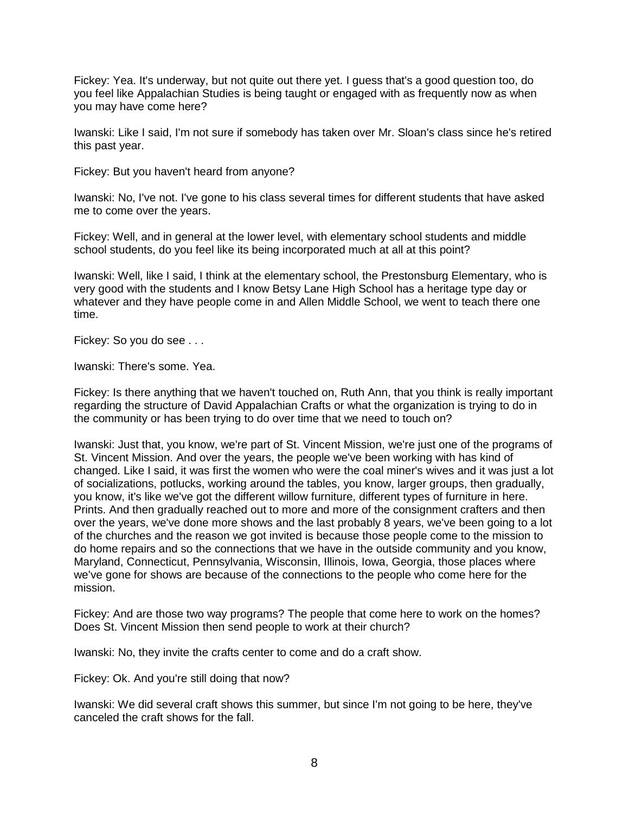Fickey: Yea. It's underway, but not quite out there yet. I guess that's a good question too, do you feel like Appalachian Studies is being taught or engaged with as frequently now as when you may have come here?

Iwanski: Like I said, I'm not sure if somebody has taken over Mr. Sloan's class since he's retired this past year.

Fickey: But you haven't heard from anyone?

Iwanski: No, I've not. I've gone to his class several times for different students that have asked me to come over the years.

Fickey: Well, and in general at the lower level, with elementary school students and middle school students, do you feel like its being incorporated much at all at this point?

Iwanski: Well, like I said, I think at the elementary school, the Prestonsburg Elementary, who is very good with the students and I know Betsy Lane High School has a heritage type day or whatever and they have people come in and Allen Middle School, we went to teach there one time.

Fickey: So you do see . . .

Iwanski: There's some. Yea.

Fickey: Is there anything that we haven't touched on, Ruth Ann, that you think is really important regarding the structure of David Appalachian Crafts or what the organization is trying to do in the community or has been trying to do over time that we need to touch on?

Iwanski: Just that, you know, we're part of St. Vincent Mission, we're just one of the programs of St. Vincent Mission. And over the years, the people we've been working with has kind of changed. Like I said, it was first the women who were the coal miner's wives and it was just a lot of socializations, potlucks, working around the tables, you know, larger groups, then gradually, you know, it's like we've got the different willow furniture, different types of furniture in here. Prints. And then gradually reached out to more and more of the consignment crafters and then over the years, we've done more shows and the last probably 8 years, we've been going to a lot of the churches and the reason we got invited is because those people come to the mission to do home repairs and so the connections that we have in the outside community and you know, Maryland, Connecticut, Pennsylvania, Wisconsin, Illinois, Iowa, Georgia, those places where we've gone for shows are because of the connections to the people who come here for the mission.

Fickey: And are those two way programs? The people that come here to work on the homes? Does St. Vincent Mission then send people to work at their church?

Iwanski: No, they invite the crafts center to come and do a craft show.

Fickey: Ok. And you're still doing that now?

Iwanski: We did several craft shows this summer, but since I'm not going to be here, they've canceled the craft shows for the fall.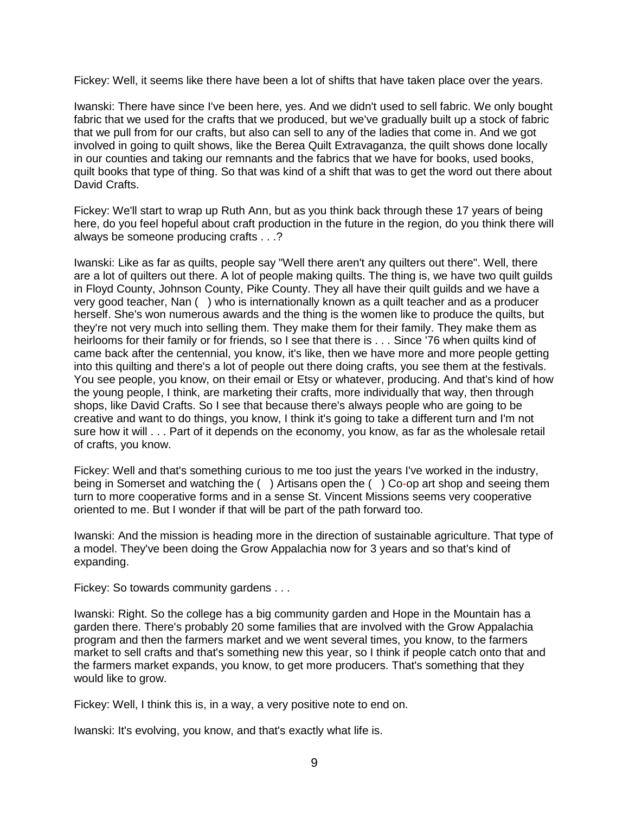Fickey: Well, it seems like there have been a lot of shifts that have taken place over the years.

Iwanski: There have since I've been here, yes. And we didn't used to sell fabric. We only bought fabric that we used for the crafts that we produced, but we've gradually built up a stock of fabric that we pull from for our crafts, but also can sell to any of the ladies that come in. And we got involved in going to quilt shows, like the Berea Quilt Extravaganza, the quilt shows done locally in our counties and taking our remnants and the fabrics that we have for books, used books, quilt books that type of thing. So that was kind of a shift that was to get the word out there about David Crafts.

Fickey: We'll start to wrap up Ruth Ann, but as you think back through these 17 years of being here, do you feel hopeful about craft production in the future in the region, do you think there will always be someone producing crafts . . .?

Iwanski: Like as far as quilts, people say "Well there aren't any quilters out there". Well, there are a lot of quilters out there. A lot of people making quilts. The thing is, we have two quilt guilds in Floyd County, Johnson County, Pike County. They all have their quilt guilds and we have a very good teacher, Nan ( ) who is internationally known as a quilt teacher and as a producer herself. She's won numerous awards and the thing is the women like to produce the quilts, but they're not very much into selling them. They make them for their family. They make them as heirlooms for their family or for friends, so I see that there is . . . Since '76 when quilts kind of came back after the centennial, you know, it's like, then we have more and more people getting into this quilting and there's a lot of people out there doing crafts, you see them at the festivals. You see people, you know, on their email or Etsy or whatever, producing. And that's kind of how the young people, I think, are marketing their crafts, more individually that way, then through shops, like David Crafts. So I see that because there's always people who are going to be creative and want to do things, you know, I think it's going to take a different turn and I'm not sure how it will . . . Part of it depends on the economy, you know, as far as the wholesale retail of crafts, you know.

Fickey: Well and that's something curious to me too just the years I've worked in the industry, being in Somerset and watching the ( ) Artisans open the ( ) Co-op art shop and seeing them turn to more cooperative forms and in a sense St. Vincent Missions seems very cooperative oriented to me. But I wonder if that will be part of the path forward too.

Iwanski: And the mission is heading more in the direction of sustainable agriculture. That type of a model. They've been doing the Grow Appalachia now for 3 years and so that's kind of expanding.

Fickey: So towards community gardens . . .

Iwanski: Right. So the college has a big community garden and Hope in the Mountain has a garden there. There's probably 20 some families that are involved with the Grow Appalachia program and then the farmers market and we went several times, you know, to the farmers market to sell crafts and that's something new this year, so I think if people catch onto that and the farmers market expands, you know, to get more producers. That's something that they would like to grow.

Fickey: Well, I think this is, in a way, a very positive note to end on.

Iwanski: It's evolving, you know, and that's exactly what life is.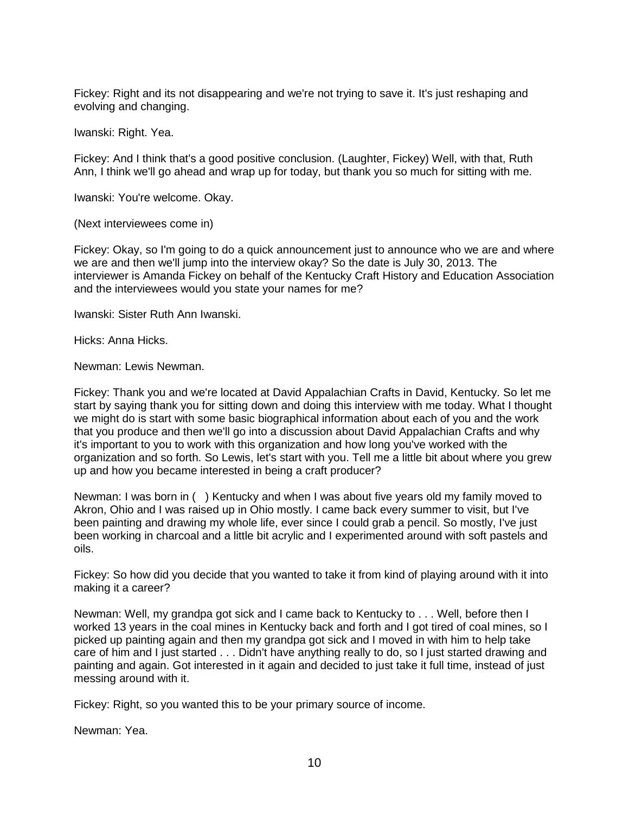Fickey: Right and its not disappearing and we're not trying to save it. It's just reshaping and evolving and changing.

Iwanski: Right. Yea.

Fickey: And I think that's a good positive conclusion. (Laughter, Fickey) Well, with that, Ruth Ann, I think we'll go ahead and wrap up for today, but thank you so much for sitting with me.

Iwanski: You're welcome. Okay.

(Next interviewees come in)

Fickey: Okay, so I'm going to do a quick announcement just to announce who we are and where we are and then we'll jump into the interview okay? So the date is July 30, 2013. The interviewer is Amanda Fickey on behalf of the Kentucky Craft History and Education Association and the interviewees would you state your names for me?

Iwanski: Sister Ruth Ann Iwanski.

Hicks: Anna Hicks.

Newman: Lewis Newman.

Fickey: Thank you and we're located at David Appalachian Crafts in David, Kentucky. So let me start by saying thank you for sitting down and doing this interview with me today. What I thought we might do is start with some basic biographical information about each of you and the work that you produce and then we'll go into a discussion about David Appalachian Crafts and why it's important to you to work with this organization and how long you've worked with the organization and so forth. So Lewis, let's start with you. Tell me a little bit about where you grew up and how you became interested in being a craft producer?

Newman: I was born in ( ) Kentucky and when I was about five years old my family moved to Akron, Ohio and I was raised up in Ohio mostly. I came back every summer to visit, but I've been painting and drawing my whole life, ever since I could grab a pencil. So mostly, I've just been working in charcoal and a little bit acrylic and I experimented around with soft pastels and oils.

Fickey: So how did you decide that you wanted to take it from kind of playing around with it into making it a career?

Newman: Well, my grandpa got sick and I came back to Kentucky to . . . Well, before then I worked 13 years in the coal mines in Kentucky back and forth and I got tired of coal mines, so I picked up painting again and then my grandpa got sick and I moved in with him to help take care of him and I just started . . . Didn't have anything really to do, so I just started drawing and painting and again. Got interested in it again and decided to just take it full time, instead of just messing around with it.

Fickey: Right, so you wanted this to be your primary source of income.

Newman: Yea.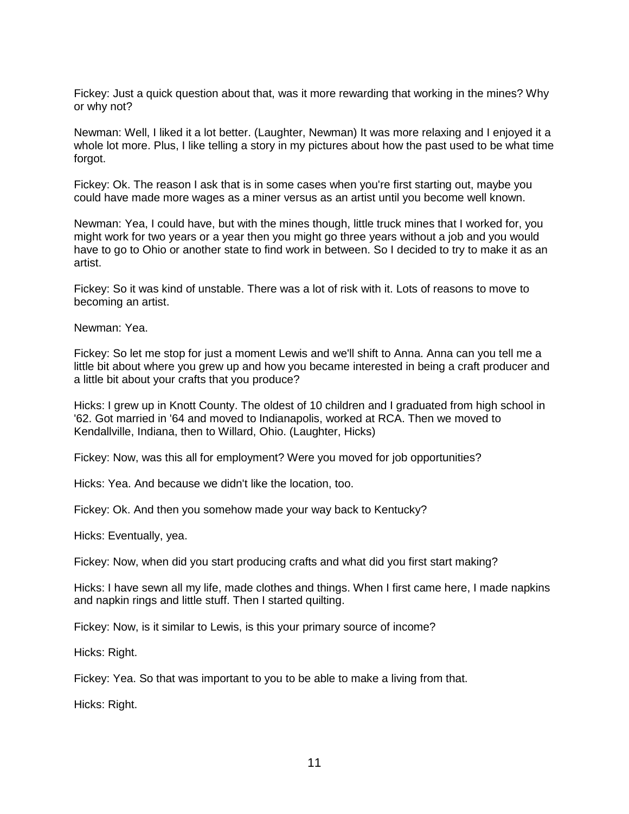Fickey: Just a quick question about that, was it more rewarding that working in the mines? Why or why not?

Newman: Well, I liked it a lot better. (Laughter, Newman) It was more relaxing and I enjoyed it a whole lot more. Plus, I like telling a story in my pictures about how the past used to be what time forgot.

Fickey: Ok. The reason I ask that is in some cases when you're first starting out, maybe you could have made more wages as a miner versus as an artist until you become well known.

Newman: Yea, I could have, but with the mines though, little truck mines that I worked for, you might work for two years or a year then you might go three years without a job and you would have to go to Ohio or another state to find work in between. So I decided to try to make it as an artist.

Fickey: So it was kind of unstable. There was a lot of risk with it. Lots of reasons to move to becoming an artist.

Newman: Yea.

Fickey: So let me stop for just a moment Lewis and we'll shift to Anna. Anna can you tell me a little bit about where you grew up and how you became interested in being a craft producer and a little bit about your crafts that you produce?

Hicks: I grew up in Knott County. The oldest of 10 children and I graduated from high school in '62. Got married in '64 and moved to Indianapolis, worked at RCA. Then we moved to Kendallville, Indiana, then to Willard, Ohio. (Laughter, Hicks)

Fickey: Now, was this all for employment? Were you moved for job opportunities?

Hicks: Yea. And because we didn't like the location, too.

Fickey: Ok. And then you somehow made your way back to Kentucky?

Hicks: Eventually, yea.

Fickey: Now, when did you start producing crafts and what did you first start making?

Hicks: I have sewn all my life, made clothes and things. When I first came here, I made napkins and napkin rings and little stuff. Then I started quilting.

Fickey: Now, is it similar to Lewis, is this your primary source of income?

Hicks: Right.

Fickey: Yea. So that was important to you to be able to make a living from that.

Hicks: Right.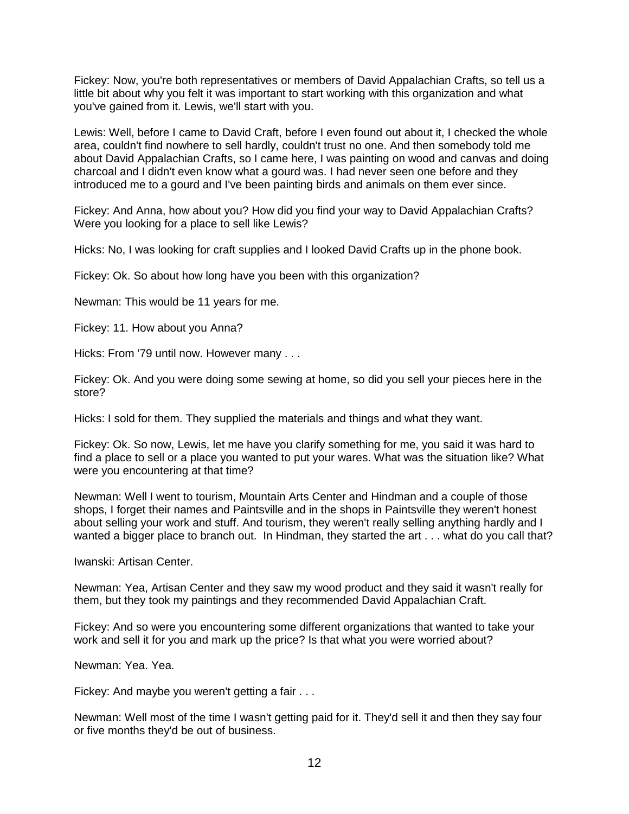Fickey: Now, you're both representatives or members of David Appalachian Crafts, so tell us a little bit about why you felt it was important to start working with this organization and what you've gained from it. Lewis, we'll start with you.

Lewis: Well, before I came to David Craft, before I even found out about it, I checked the whole area, couldn't find nowhere to sell hardly, couldn't trust no one. And then somebody told me about David Appalachian Crafts, so I came here, I was painting on wood and canvas and doing charcoal and I didn't even know what a gourd was. I had never seen one before and they introduced me to a gourd and I've been painting birds and animals on them ever since.

Fickey: And Anna, how about you? How did you find your way to David Appalachian Crafts? Were you looking for a place to sell like Lewis?

Hicks: No, I was looking for craft supplies and I looked David Crafts up in the phone book.

Fickey: Ok. So about how long have you been with this organization?

Newman: This would be 11 years for me.

Fickey: 11. How about you Anna?

Hicks: From '79 until now. However many . . .

Fickey: Ok. And you were doing some sewing at home, so did you sell your pieces here in the store?

Hicks: I sold for them. They supplied the materials and things and what they want.

Fickey: Ok. So now, Lewis, let me have you clarify something for me, you said it was hard to find a place to sell or a place you wanted to put your wares. What was the situation like? What were you encountering at that time?

Newman: Well I went to tourism, Mountain Arts Center and Hindman and a couple of those shops, I forget their names and Paintsville and in the shops in Paintsville they weren't honest about selling your work and stuff. And tourism, they weren't really selling anything hardly and I wanted a bigger place to branch out. In Hindman, they started the art . . . what do you call that?

Iwanski: Artisan Center.

Newman: Yea, Artisan Center and they saw my wood product and they said it wasn't really for them, but they took my paintings and they recommended David Appalachian Craft.

Fickey: And so were you encountering some different organizations that wanted to take your work and sell it for you and mark up the price? Is that what you were worried about?

Newman: Yea. Yea.

Fickey: And maybe you weren't getting a fair . . .

Newman: Well most of the time I wasn't getting paid for it. They'd sell it and then they say four or five months they'd be out of business.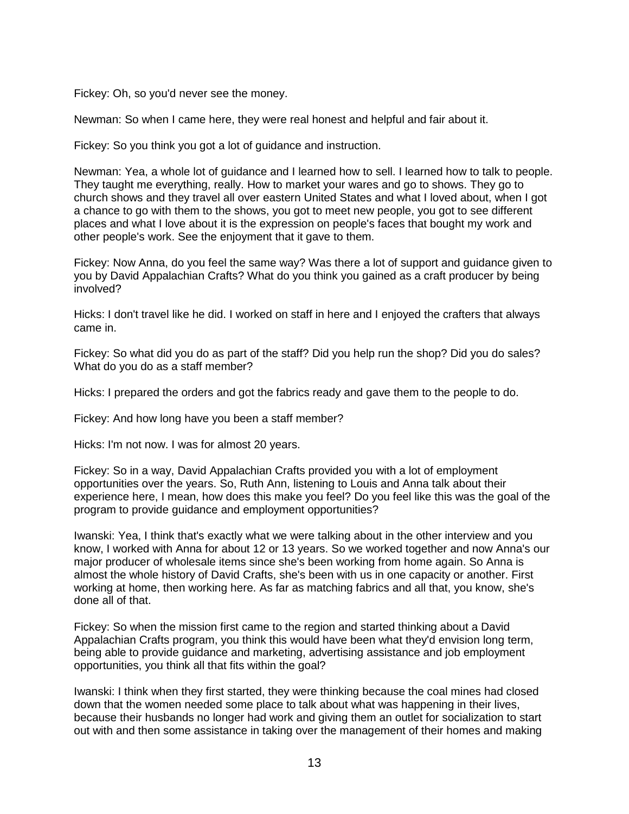Fickey: Oh, so you'd never see the money.

Newman: So when I came here, they were real honest and helpful and fair about it.

Fickey: So you think you got a lot of guidance and instruction.

Newman: Yea, a whole lot of guidance and I learned how to sell. I learned how to talk to people. They taught me everything, really. How to market your wares and go to shows. They go to church shows and they travel all over eastern United States and what I loved about, when I got a chance to go with them to the shows, you got to meet new people, you got to see different places and what I love about it is the expression on people's faces that bought my work and other people's work. See the enjoyment that it gave to them.

Fickey: Now Anna, do you feel the same way? Was there a lot of support and guidance given to you by David Appalachian Crafts? What do you think you gained as a craft producer by being involved?

Hicks: I don't travel like he did. I worked on staff in here and I enjoyed the crafters that always came in.

Fickey: So what did you do as part of the staff? Did you help run the shop? Did you do sales? What do you do as a staff member?

Hicks: I prepared the orders and got the fabrics ready and gave them to the people to do.

Fickey: And how long have you been a staff member?

Hicks: I'm not now. I was for almost 20 years.

Fickey: So in a way, David Appalachian Crafts provided you with a lot of employment opportunities over the years. So, Ruth Ann, listening to Louis and Anna talk about their experience here, I mean, how does this make you feel? Do you feel like this was the goal of the program to provide guidance and employment opportunities?

Iwanski: Yea, I think that's exactly what we were talking about in the other interview and you know, I worked with Anna for about 12 or 13 years. So we worked together and now Anna's our major producer of wholesale items since she's been working from home again. So Anna is almost the whole history of David Crafts, she's been with us in one capacity or another. First working at home, then working here. As far as matching fabrics and all that, you know, she's done all of that.

Fickey: So when the mission first came to the region and started thinking about a David Appalachian Crafts program, you think this would have been what they'd envision long term, being able to provide guidance and marketing, advertising assistance and job employment opportunities, you think all that fits within the goal?

Iwanski: I think when they first started, they were thinking because the coal mines had closed down that the women needed some place to talk about what was happening in their lives, because their husbands no longer had work and giving them an outlet for socialization to start out with and then some assistance in taking over the management of their homes and making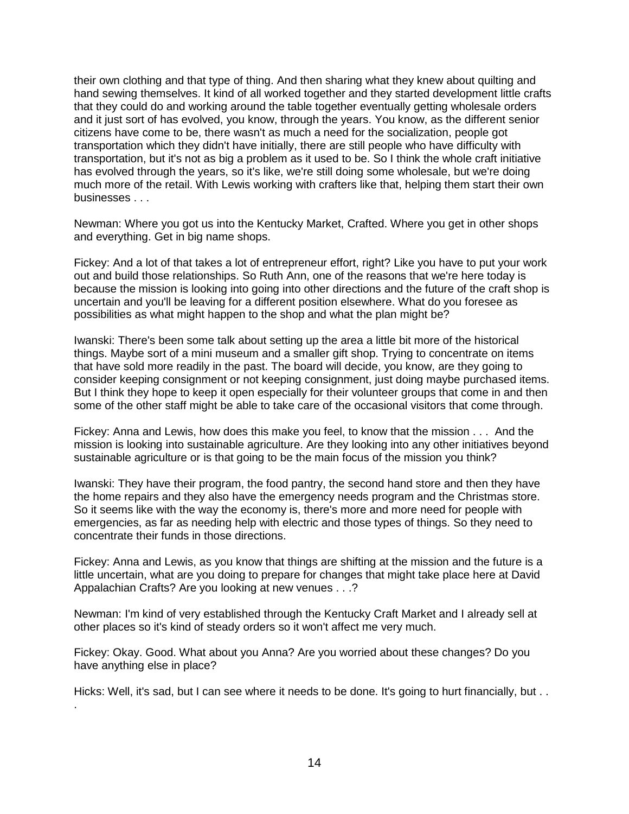their own clothing and that type of thing. And then sharing what they knew about quilting and hand sewing themselves. It kind of all worked together and they started development little crafts that they could do and working around the table together eventually getting wholesale orders and it just sort of has evolved, you know, through the years. You know, as the different senior citizens have come to be, there wasn't as much a need for the socialization, people got transportation which they didn't have initially, there are still people who have difficulty with transportation, but it's not as big a problem as it used to be. So I think the whole craft initiative has evolved through the years, so it's like, we're still doing some wholesale, but we're doing much more of the retail. With Lewis working with crafters like that, helping them start their own businesses . . .

Newman: Where you got us into the Kentucky Market, Crafted. Where you get in other shops and everything. Get in big name shops.

Fickey: And a lot of that takes a lot of entrepreneur effort, right? Like you have to put your work out and build those relationships. So Ruth Ann, one of the reasons that we're here today is because the mission is looking into going into other directions and the future of the craft shop is uncertain and you'll be leaving for a different position elsewhere. What do you foresee as possibilities as what might happen to the shop and what the plan might be?

Iwanski: There's been some talk about setting up the area a little bit more of the historical things. Maybe sort of a mini museum and a smaller gift shop. Trying to concentrate on items that have sold more readily in the past. The board will decide, you know, are they going to consider keeping consignment or not keeping consignment, just doing maybe purchased items. But I think they hope to keep it open especially for their volunteer groups that come in and then some of the other staff might be able to take care of the occasional visitors that come through.

Fickey: Anna and Lewis, how does this make you feel, to know that the mission . . . And the mission is looking into sustainable agriculture. Are they looking into any other initiatives beyond sustainable agriculture or is that going to be the main focus of the mission you think?

Iwanski: They have their program, the food pantry, the second hand store and then they have the home repairs and they also have the emergency needs program and the Christmas store. So it seems like with the way the economy is, there's more and more need for people with emergencies, as far as needing help with electric and those types of things. So they need to concentrate their funds in those directions.

Fickey: Anna and Lewis, as you know that things are shifting at the mission and the future is a little uncertain, what are you doing to prepare for changes that might take place here at David Appalachian Crafts? Are you looking at new venues . . .?

Newman: I'm kind of very established through the Kentucky Craft Market and I already sell at other places so it's kind of steady orders so it won't affect me very much.

Fickey: Okay. Good. What about you Anna? Are you worried about these changes? Do you have anything else in place?

Hicks: Well, it's sad, but I can see where it needs to be done. It's going to hurt financially, but . . .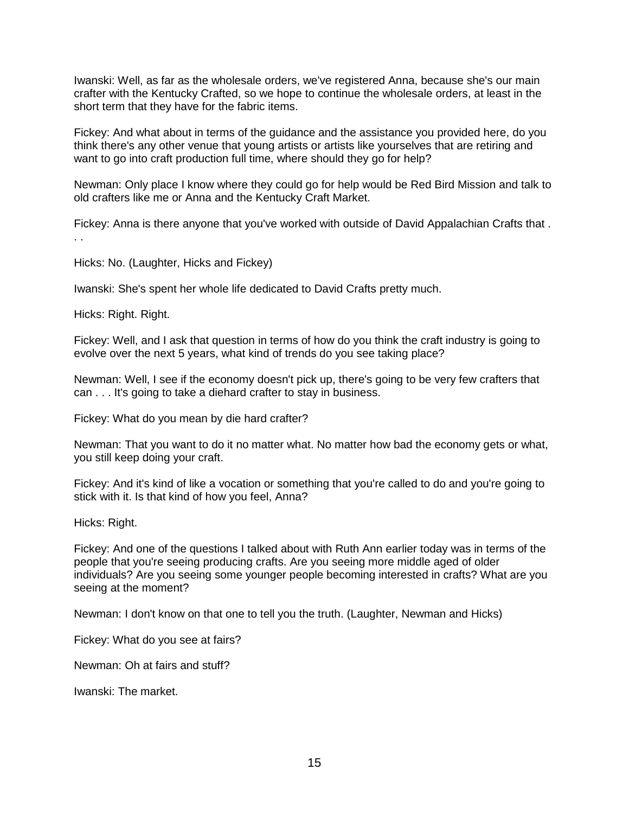Iwanski: Well, as far as the wholesale orders, we've registered Anna, because she's our main crafter with the Kentucky Crafted, so we hope to continue the wholesale orders, at least in the short term that they have for the fabric items.

Fickey: And what about in terms of the guidance and the assistance you provided here, do you think there's any other venue that young artists or artists like yourselves that are retiring and want to go into craft production full time, where should they go for help?

Newman: Only place I know where they could go for help would be Red Bird Mission and talk to old crafters like me or Anna and the Kentucky Craft Market.

Fickey: Anna is there anyone that you've worked with outside of David Appalachian Crafts that . . .

Hicks: No. (Laughter, Hicks and Fickey)

Iwanski: She's spent her whole life dedicated to David Crafts pretty much.

Hicks: Right. Right.

Fickey: Well, and I ask that question in terms of how do you think the craft industry is going to evolve over the next 5 years, what kind of trends do you see taking place?

Newman: Well, I see if the economy doesn't pick up, there's going to be very few crafters that can . . . It's going to take a diehard crafter to stay in business.

Fickey: What do you mean by die hard crafter?

Newman: That you want to do it no matter what. No matter how bad the economy gets or what, you still keep doing your craft.

Fickey: And it's kind of like a vocation or something that you're called to do and you're going to stick with it. Is that kind of how you feel, Anna?

Hicks: Right.

Fickey: And one of the questions I talked about with Ruth Ann earlier today was in terms of the people that you're seeing producing crafts. Are you seeing more middle aged of older individuals? Are you seeing some younger people becoming interested in crafts? What are you seeing at the moment?

Newman: I don't know on that one to tell you the truth. (Laughter, Newman and Hicks)

Fickey: What do you see at fairs?

Newman: Oh at fairs and stuff?

Iwanski: The market.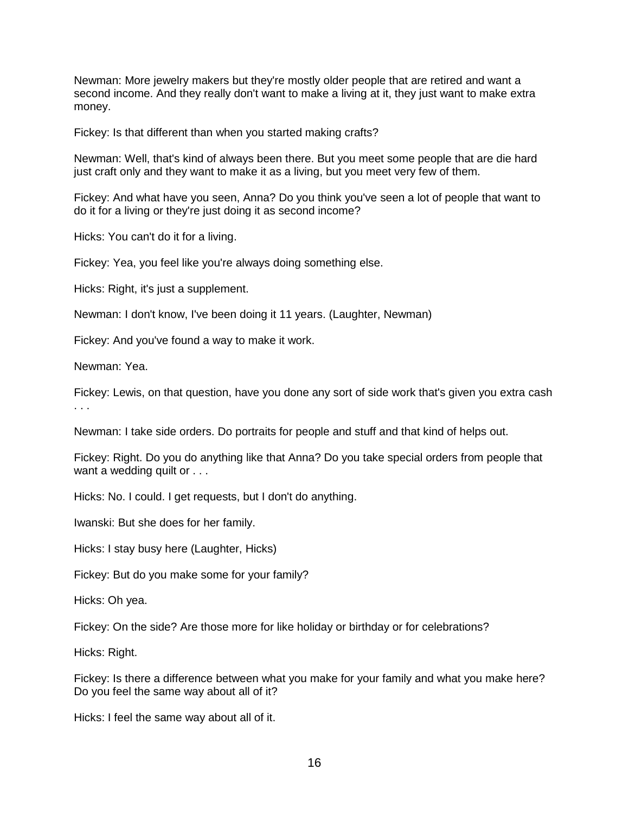Newman: More jewelry makers but they're mostly older people that are retired and want a second income. And they really don't want to make a living at it, they just want to make extra money.

Fickey: Is that different than when you started making crafts?

Newman: Well, that's kind of always been there. But you meet some people that are die hard just craft only and they want to make it as a living, but you meet very few of them.

Fickey: And what have you seen, Anna? Do you think you've seen a lot of people that want to do it for a living or they're just doing it as second income?

Hicks: You can't do it for a living.

Fickey: Yea, you feel like you're always doing something else.

Hicks: Right, it's just a supplement.

Newman: I don't know, I've been doing it 11 years. (Laughter, Newman)

Fickey: And you've found a way to make it work.

Newman: Yea.

Fickey: Lewis, on that question, have you done any sort of side work that's given you extra cash . . .

Newman: I take side orders. Do portraits for people and stuff and that kind of helps out.

Fickey: Right. Do you do anything like that Anna? Do you take special orders from people that want a wedding quilt or . . .

Hicks: No. I could. I get requests, but I don't do anything.

Iwanski: But she does for her family.

Hicks: I stay busy here (Laughter, Hicks)

Fickey: But do you make some for your family?

Hicks: Oh yea.

Fickey: On the side? Are those more for like holiday or birthday or for celebrations?

Hicks: Right.

Fickey: Is there a difference between what you make for your family and what you make here? Do you feel the same way about all of it?

Hicks: I feel the same way about all of it.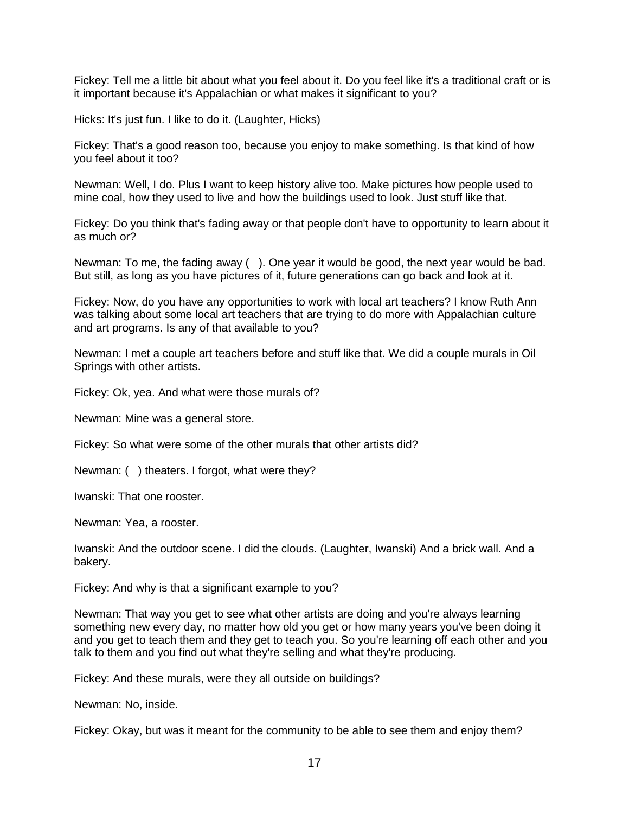Fickey: Tell me a little bit about what you feel about it. Do you feel like it's a traditional craft or is it important because it's Appalachian or what makes it significant to you?

Hicks: It's just fun. I like to do it. (Laughter, Hicks)

Fickey: That's a good reason too, because you enjoy to make something. Is that kind of how you feel about it too?

Newman: Well, I do. Plus I want to keep history alive too. Make pictures how people used to mine coal, how they used to live and how the buildings used to look. Just stuff like that.

Fickey: Do you think that's fading away or that people don't have to opportunity to learn about it as much or?

Newman: To me, the fading away ( ). One year it would be good, the next year would be bad. But still, as long as you have pictures of it, future generations can go back and look at it.

Fickey: Now, do you have any opportunities to work with local art teachers? I know Ruth Ann was talking about some local art teachers that are trying to do more with Appalachian culture and art programs. Is any of that available to you?

Newman: I met a couple art teachers before and stuff like that. We did a couple murals in Oil Springs with other artists.

Fickey: Ok, yea. And what were those murals of?

Newman: Mine was a general store.

Fickey: So what were some of the other murals that other artists did?

Newman: ( ) theaters. I forgot, what were they?

Iwanski: That one rooster.

Newman: Yea, a rooster.

Iwanski: And the outdoor scene. I did the clouds. (Laughter, Iwanski) And a brick wall. And a bakery.

Fickey: And why is that a significant example to you?

Newman: That way you get to see what other artists are doing and you're always learning something new every day, no matter how old you get or how many years you've been doing it and you get to teach them and they get to teach you. So you're learning off each other and you talk to them and you find out what they're selling and what they're producing.

Fickey: And these murals, were they all outside on buildings?

Newman: No, inside.

Fickey: Okay, but was it meant for the community to be able to see them and enjoy them?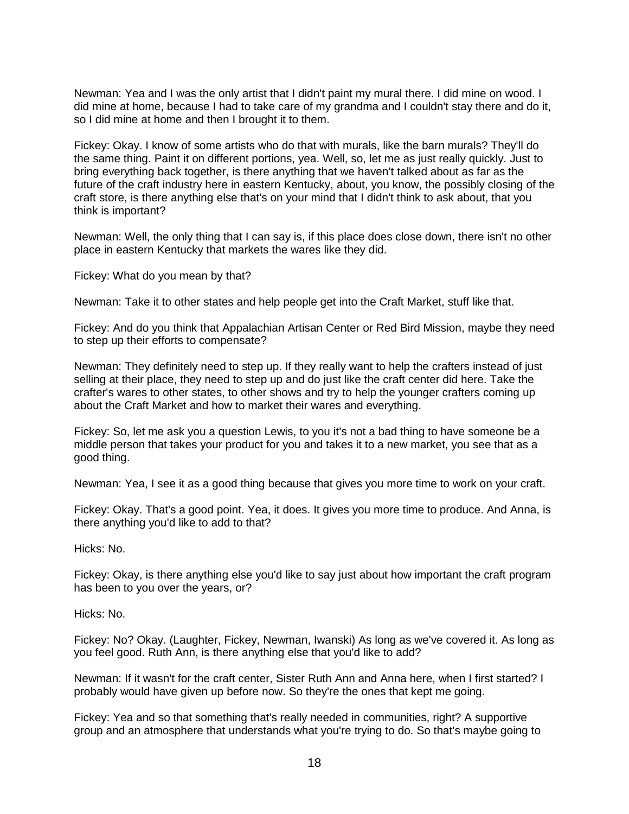Newman: Yea and I was the only artist that I didn't paint my mural there. I did mine on wood. I did mine at home, because I had to take care of my grandma and I couldn't stay there and do it, so I did mine at home and then I brought it to them.

Fickey: Okay. I know of some artists who do that with murals, like the barn murals? They'll do the same thing. Paint it on different portions, yea. Well, so, let me as just really quickly. Just to bring everything back together, is there anything that we haven't talked about as far as the future of the craft industry here in eastern Kentucky, about, you know, the possibly closing of the craft store, is there anything else that's on your mind that I didn't think to ask about, that you think is important?

Newman: Well, the only thing that I can say is, if this place does close down, there isn't no other place in eastern Kentucky that markets the wares like they did.

Fickey: What do you mean by that?

Newman: Take it to other states and help people get into the Craft Market, stuff like that.

Fickey: And do you think that Appalachian Artisan Center or Red Bird Mission, maybe they need to step up their efforts to compensate?

Newman: They definitely need to step up. If they really want to help the crafters instead of just selling at their place, they need to step up and do just like the craft center did here. Take the crafter's wares to other states, to other shows and try to help the younger crafters coming up about the Craft Market and how to market their wares and everything.

Fickey: So, let me ask you a question Lewis, to you it's not a bad thing to have someone be a middle person that takes your product for you and takes it to a new market, you see that as a good thing.

Newman: Yea, I see it as a good thing because that gives you more time to work on your craft.

Fickey: Okay. That's a good point. Yea, it does. It gives you more time to produce. And Anna, is there anything you'd like to add to that?

Hicks: No.

Fickey: Okay, is there anything else you'd like to say just about how important the craft program has been to you over the years, or?

Hicks: No.

Fickey: No? Okay. (Laughter, Fickey, Newman, Iwanski) As long as we've covered it. As long as you feel good. Ruth Ann, is there anything else that you'd like to add?

Newman: If it wasn't for the craft center, Sister Ruth Ann and Anna here, when I first started? I probably would have given up before now. So they're the ones that kept me going.

Fickey: Yea and so that something that's really needed in communities, right? A supportive group and an atmosphere that understands what you're trying to do. So that's maybe going to